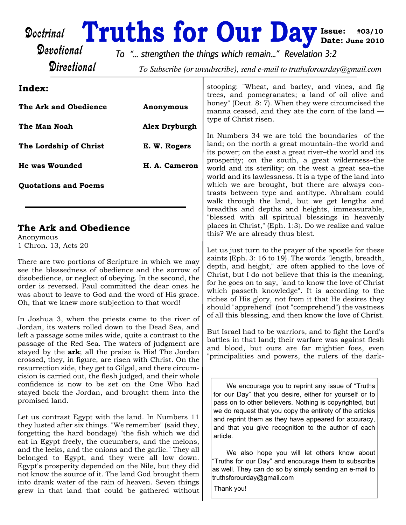## Doctrinal

# **Issue: #03/10 Truths for Our Day Date: June 2010**

Devotional **Directional** 

*To "... strengthen the things which remain..." Revelation 3:2*

To Subscribe (or unsubscribe), send e-mail to truthsforourday@gmail.com

### **Index:**

| The Ark and Obedience       | Anonymous     |  |
|-----------------------------|---------------|--|
| The Man Noah                | Alex Dryburgh |  |
| The Lordship of Christ      | E. W. Rogers  |  |
| He was Wounded              | H. A. Cameron |  |
| <b>Quotations and Poems</b> |               |  |

## **The Ark and Obedience**

Anonymous 1 Chron. 13, Acts 20

There are two portions of Scripture in which we may see the blessedness of obedience and the sorrow of disobedience, or neglect of obeying. In the second, the order is reversed. Paul committed the dear ones he was about to leave to God and the word of His grace. Oh, that we knew more subjection to that word!

In Joshua 3, when the priests came to the river of Jordan, its waters rolled down to the Dead Sea, and left a passage some miles wide, quite a contrast to the passage of the Red Sea. The waters of judgment are stayed by the **ark**; all the praise is His! The Jordan crossed, they, in figure, are risen with Christ. On the resurrection side, they get to Gilgal, and there circumcision is carried out, the flesh judged, and their whole confidence is now to be set on the One Who had stayed back the Jordan, and brought them into the promised land.

Let us contrast Egypt with the land. In Numbers 11 they lusted after six things. "We remember" (said they, forgetting the hard bondage) "the fish which we did eat in Egypt freely, the cucumbers, and the melons, and the leeks, and the onions and the garlic." They all belonged to Egypt, and they were all low down. Egypt's prosperity depended on the Nile, but they did not know the source of it. The land God brought them into drank water of the rain of heaven. Seven things grew in that land that could be gathered without stooping: "Wheat, and barley, and vines, and fig trees, and pomegranates; a land of oil olive and honey" (Deut. 8: 7). When they were circumcised the manna ceased, and they ate the corn of the land type of Christ risen.

In Numbers 34 we are told the boundaries of the land; on the north a great mountain–the world and its power; on the east a great river–the world and its prosperity; on the south, a great wilderness–the world and its sterility; on the west a great sea–the world and its lawlessness. It is a type of the land into which we are brought, but there are always contrasts between type and antitype. Abraham could walk through the land, but we get lengths and breadths and depths and heights, immeasurable, "blessed with all spiritual blessings in heavenly places in Christ," (Eph. 1:3}. Do we realize and value this? We are already thus blest.

Let us just turn to the prayer of the apostle for these saints (Eph. 3: 16 to 19). The words "length, breadth, depth, and height," are often applied to the love of Christ, but I do not believe that this is the meaning, for he goes on to say, "and to know the love of Christ which passeth knowledge". It is according to the riches of His glory, not from it that He desires they should "apprehend" (not "comprehend") the vastness of all this blessing, and then know the love of Christ.

But Israel had to be warriors, and to fight the Lord's battles in that land; their warfare was against flesh and blood, but ours are far mightier foes, even "principalities and powers, the rulers of the dark-

We encourage you to reprint any issue of "Truths for our Day" that you desire, either for yourself or to pass on to other believers. Nothing is copyrighted, but we do request that you copy the entirety of the articles and reprint them as they have appeared for accuracy, and that you give recognition to the author of each article.

We also hope you will let others know about "Truths for our Day" and encourage them to subscribe as well. They can do so by simply sending an e-mail to truthsforourday@gmail.com

Thank you!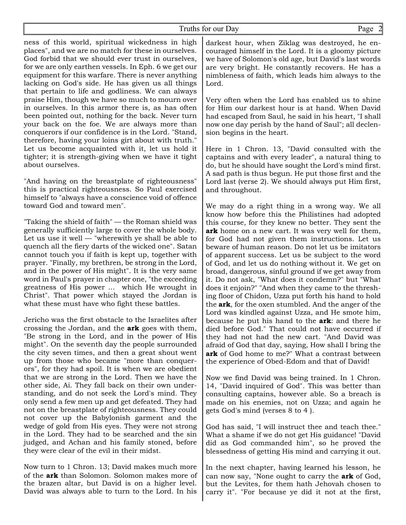#### Truths for our Day Page

ness of this world, spiritual wickedness in high places", and we are no match for these in ourselves. God forbid that we should ever trust in ourselves, for we are only earthen vessels. In Eph. 6 we get our equipment for this warfare. There is never anything lacking on God's side. He has given us all things that pertain to life and godliness. We can always praise Him, though we have so much to mourn over in ourselves. In this armor there is, as has often been pointed out, nothing for the back. Never turn your back on the foe. We are always more than conquerors if our confidence is in the Lord. "Stand, therefore, having your loins girt about with truth." Let us become acquainted with it, let us hold it tighter; it is strength-giving when we have it tight about ourselves.

"And having on the breastplate of righteousness" this is practical righteousness. So Paul exercised himself to "always have a conscience void of offence toward God and toward men".

"Taking the shield of faith" — the Roman shield was generally sufficiently large to cover the whole body. Let us use it well — "wherewith ye shall be able to quench all the fiery darts of the wicked one". Satan cannot touch you if faith is kept up, together with prayer. "Finally, my brethren, be strong in the Lord, and in the power of His might". It is the very same word in Paul's prayer in chapter one, "the exceeding greatness of His power ... which He wrought in Christ". That power which stayed the Jordan is what these must have who fight these battles.

Jericho was the first obstacle to the Israelites after crossing the Jordan, and the **ark** goes with them, "Be strong in the Lord, and in the power of His might". On the seventh day the people surrounded the city seven times, and then a great shout went up from those who became "more than conquerors", for they had spoil. It is when we are obedient that we are strong in the Lord. Then we have the other side, Ai. They fall back on their own understanding, and do not seek the Lord's mind. They only send a few men up and get defeated. They had not on the breastplate of righteousness. They could not cover up the Babylonish garment and the wedge of gold from His eyes. They were not strong in the Lord. They had to be searched and the sin judged, and Achan and his family stoned, before they were clear of the evil in their midst.

Now turn to 1 Chron. 13; David makes much more of the **ark** than Solomon. Solomon makes more of the brazen altar, but David is on a higher level. David was always able to turn to the Lord. In his darkest hour, when Ziklag was destroyed, he encouraged himself in the Lord. It is a gloomy picture we have of Solomon's old age, but David's last words are very bright. He constantly recovers. He has a nimbleness of faith, which leads him always to the Lord.

Very often when the Lord has enabled us to shine for Him our darkest hour is at hand. When David had escaped from Saul, he said in his heart, "I shall now one day perish by the hand of Saul"; all declension begins in the heart.

Here in 1 Chron. 13, "David consulted with the captains and with every leader", a natural thing to do, but he should have sought the Lord's mind first. A sad path is thus begun. He put those first and the Lord last (verse 2). We should always put Him first, and throughout.

We may do a right thing in a wrong way. We all know how before this the Philistines had adopted this course, for they knew no better. They sent the **ark** home on a new cart. It was very well for them, for God had not given them instructions. Let us beware of human reason. Do not let us be imitators of apparent success. Let us be subject to the word of God, and let us do nothing without it. We get on broad, dangerous, sinful ground if we get away from it. Do not ask, "What does it condemn?" but "What does it enjoin?" "And when they came to the threshing floor of Chidon, Uzza put forth his hand to hold the **ark**, for the oxen stumbled. And the anger of the Lord was kindled against Uzza, and He smote him, because he put his hand to the **ark**: and there he died before God." That could not have occurred if they had not had the new cart. "And David was afraid of God that day, saying, How shall I bring the **ark** of God home to me?" What a contrast between the experience of Obed-Edom and that of David!

Now we find David was being trained. In 1 Chron. 14, "David inquired of God". This was better than consulting captains, however able. So a breach is made on his enemies, not on Uzza; and again he gets God's mind (verses 8 to 4 ).

God has said, "I will instruct thee and teach thee." What a shame if we do not get His guidance! "David did as God commanded him", so he proved the blessedness of getting His mind and carrying it out.

In the next chapter, having learned his lesson, he can now say, "None ought to carry the **ark** of God, but the Levites, for them hath Jehovah chosen to carry it". "For because ye did it not at the first,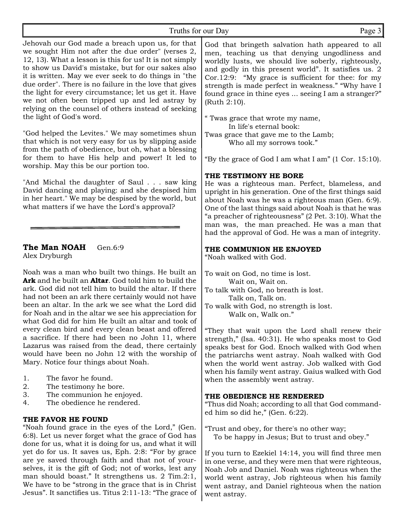#### Truths for our Day Page 3

Jehovah our God made a breach upon us, for that we sought Him not after the due order" (verses 2, 12, 13). What a lesson is this for us! It is not simply to show us David's mistake, but for our sakes also it is written. May we ever seek to do things in "the due order". There is no failure in the love that gives the light for every circumstance; let us get it. Have we not often been tripped up and led astray by relying on the counsel of others instead of seeking the light of God's word.

"God helped the Levites." We may sometimes shun that which is not very easy for us by slipping aside from the path of obedience, but oh, what a blessing for them to have His help and power! It led to worship. May this be our portion too.

"And Michal the daughter of Saul . . . saw king David dancing and playing: and she despised him in her heart." We may be despised by the world, but what matters if we have the Lord's approval?

## **The Man NOAH** Gen.6:9

Alex Dryburgh

Noah was a man who built two things. He built an **Ark** and he built an **Altar**. God told him to build the ark. God did not tell him to build the altar. If there had not been an ark there certainly would not have been an altar. In the ark we see what the Lord did for Noah and in the altar we see his appreciation for what God did for him He built an altar and took of every clean bird and every clean beast and offered a sacrifice. If there had been no John 11, where Lazarus was raised from the dead, there certainly would have been no John 12 with the worship of Mary. Notice four things about Noah.

- 1. The favor he found.
- 2. The testimony he bore.
- 3. The communion he enjoyed.
- 4. The obedience he rendered.

#### **THE FAVOR HE FOUND**

"Noah found grace in the eyes of the Lord," (Gen. 6:8). Let us never forget what the grace of God has done for us, what it is doing for us, and what it will yet do for us. It saves us, Eph. 2:8: "For by grace are ye saved through faith and that not of yourselves, it is the gift of God; not of works, lest any man should boast." It strengthens us. 2 Tim.2:1, We have to be "strong in the grace that is in Christ Jesus". It sanctifies us. Titus 2:11-13: "The grace of

God that bringeth salvation hath appeared to all men, teaching us that denying ungodliness and worldly lusts, we should live soberly, righteously, and godly in this present world". It satisfies us. 2 Cor.12:9: "My grace is sufficient for thee: for my strength is made perfect in weakness." "Why have I found grace in thine eyes ... seeing I am a stranger?" (Ruth 2:10).

" Twas grace that wrote my name, In life's eternal book:

Twas grace that gave me to the Lamb; Who all my sorrows took."

"By the grace of God I am what I am" (1 Cor. 15:10).

#### **THE TESTIMONY HE BORE**

He was a righteous man. Perfect, blameless, and upright in his generation. One of the first things said about Noah was he was a righteous man (Gen. 6:9). One of the last things said about Noah is that he was "a preacher of righteousness" (2 Pet. 3:10). What the man was, the man preached. He was a man that had the approval of God. He was a man of integrity.

#### **THE COMMUNION HE ENJOYED**

"Noah walked with God.

To wait on God, no time is lost. Wait on, Wait on.

- To talk with God, no breath is lost. Talk on, Talk on.
- To walk with God, no strength is lost. Walk on, Walk on."

"They that wait upon the Lord shall renew their strength," (Isa. 40:31). He who speaks most to God speaks best for God. Enoch walked with God when the patriarchs went astray. Noah walked with God when the world went astray. Job walked with God when his family went astray. Gaius walked with God when the assembly went astray.

#### **THE OBEDIENCE HE RENDERED**

"Thus did Noah; according to all that God commanded him so did he," (Gen. 6:22).

"Trust and obey, for there's no other way; To be happy in Jesus; But to trust and obey."

If you turn to Ezekiel 14:14, you will find three men in one verse, and they were men that were righteous, Noah Job and Daniel. Noah was righteous when the world went astray, Job righteous when his family went astray, and Daniel righteous when the nation went astray.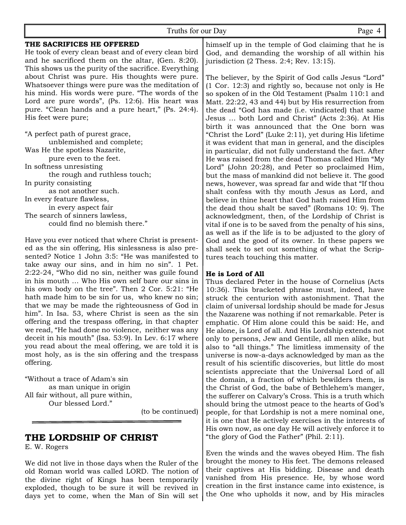| Truths for our Day                                                                                                                                                                                               | Page 4                                                                                                                                                                                                                                                                                                                        |
|------------------------------------------------------------------------------------------------------------------------------------------------------------------------------------------------------------------|-------------------------------------------------------------------------------------------------------------------------------------------------------------------------------------------------------------------------------------------------------------------------------------------------------------------------------|
| THE SACRIFICES HE OFFERED<br>He took of every clean beast and of every clean bird<br>and he sacrificed them on the altar, (Gen. 8:20).                                                                           | himself up in the temple of God claiming that he i<br>God, and demanding the worship of all within hi<br>jurisdiction $(2$ Thess. $2:4$ ; Rev. 13:15).                                                                                                                                                                        |
| This shows us the purity of the sacrifice. Everything<br>about Christ was pure. His thoughts were pure.<br>Whatsoever things were pure was the meditation of<br>his mind. His words were pure. "The words of the | The believer, by the Spirit of God calls Jesus "Lord"<br>(1 Cor. 12:3) and rightly so, because not only is H<br>so spoken of in the Old Testament (Psalm 110:1 and                                                                                                                                                            |
| Lord are pure words", (Ps. 12:6). His heart was<br>pure. "Clean hands and a pure heart," (Ps. 24:4).                                                                                                             | Matt. 22:22, 43 and 44) but by His resurrection from<br>the dead "God has made (i.e. vindicated) that sam                                                                                                                                                                                                                     |
| His feet were pure;                                                                                                                                                                                              | Jesus  both Lord and Christ" (Acts 2:36). At Hi                                                                                                                                                                                                                                                                               |
| "A perfect path of purest grace,<br>unblemished and complete;<br>Was He the spotless Nazarite,<br>pure even to the feet.<br>In softness unresisting                                                              | birth it was announced that the One born wa<br>"Christ the Lord" (Luke 2:11), yet during His lifetim<br>it was evident that man in general, and the disciple<br>in particular, did not fully understand the fact. Afte<br>He was raised from the dead Thomas called Him "M<br>Lord" (John 20:28), and Peter so proclaimed Him |
| the rough and ruthless touch;                                                                                                                                                                                    | but the mass of mankind did not believe it. The goo                                                                                                                                                                                                                                                                           |
| In purity consisting<br>as not another such.                                                                                                                                                                     | news, however, was spread far and wide that "If tho<br>shalt confess with thy mouth Jesus as Lord, an                                                                                                                                                                                                                         |
| In every feature flawless,<br>in every aspect fair                                                                                                                                                               | believe in thine heart that God hath raised Him fror<br>the dead thou shalt be saved" (Romans 10: 9). The                                                                                                                                                                                                                     |
| The search of sinners lawless,<br>could find no blemish there."                                                                                                                                                  | acknowledgment, then, of the Lordship of Christ i<br>vital if one is to be saved from the penalty of his sins<br>as well as if the life is to be adjusted to the glory of                                                                                                                                                     |
| $\mathbf{r}$ and $\mathbf{r}$ and $\mathbf{r}$ and $\mathbf{r}$                                                                                                                                                  |                                                                                                                                                                                                                                                                                                                               |

Have you ever noticed that where Christ is presented as the sin offering, His sinlessness is also presented? Notice 1 John 3:5: "He was manifested to take away our sins, and in him no sin". 1 Pet. 2:22-24, "Who did no sin, neither was guile found in his mouth … Who His own self bare our sins in his own body on the tree". Then 2 Cor. 5:21: "He hath made him to be sin for us, who knew no sin; that we may be made the righteousness of God in him". In Isa. 53, where Christ is seen as the sin offering and the trespass offering, in that chapter we read, "He had done no violence, neither was any deceit in his mouth" (Isa. 53:9). In Lev. 6:17 where you read about the meal offering, we are told it is most holy, as is the sin offering and the trespass offering.

"Without a trace of Adam's sin as man unique in origin All fair without, all pure within, Our blessed Lord."

(to be continued)

## **THE LORDSHIP OF CHRIST**

E. W. Rogers

We did not live in those days when the Ruler of the old Roman world was called LORD. The notion of the divine right of Kings has been temporarily exploded, though to be sure it will be revived in days yet to come, when the Man of Sin will set

s "Lord" hly is He  $.0:1$  and ion from at same . At His orn was lifetime disciples ict. After Him "My ed Him, he good. "If thou ord, and lim from 9). The Christ is his sins. glory of God and the good of its owner. In these papers we shall seek to set out something of what the Scriptures teach touching this matter.

#### **He is Lord of All**

Thus declared Peter in the house of Cornelius (Acts 10:36). This bracketed phrase must, indeed, have struck the centurion with astonishment. That the claim of universal lordship should be made for Jesus the Nazarene was nothing if not remarkable. Peter is emphatic. Of Him alone could this be said: He, and He alone, is Lord of all. And His Lordship extends not only to persons, Jew and Gentile, all men alike, but also to "all things." The limitless immensity of the universe is now-a-days acknowledged by man as the result of his scientific discoveries, but little do most scientists appreciate that the Universal Lord of all the domain, a fraction of which bewilders them, is the Christ of God, the babe of Bethlehem's manger, the sufferer on Calvary's Cross. This is a truth which should bring the utmost peace to the hearts of God's people, for that Lordship is not a mere nominal one, it is one that He actively exercises in the interests of His own now, as one day He will actively enforce it to "the glory of God the Father" (Phil. 2:11).

Even the winds and the waves obeyed Him. The fish brought the money to His feet. The demons released their captives at His bidding. Disease and death vanished from His presence. He, by whose word creation in the first instance came into existence, is the One who upholds it now, and by His miracles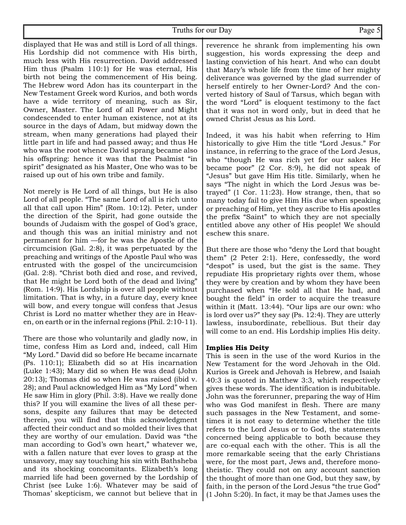Truths for our Day Page 5

displayed that He was and still is Lord of all things. His Lordship did not commence with His birth, much less with His resurrection. David addressed Him thus (Psalm 110:1) for He was eternal, His birth not being the commencement of His being. The Hebrew word Adon has its counterpart in the New Testament Greek word Kurios, and both words have a wide territory of meaning, such as Sir, Owner, Master. The Lord of all Power and Might condescended to enter human existence, not at its source in the days of Adam, but midway down the stream, when many generations had played their little part in life and had passed away; and thus He who was the root whence David sprang became also his offspring: hence it was that the Psalmist "in spirit" designated as his Master, One who was to be raised up out of his own tribe and family.

Not merely is He Lord of all things, but He is also Lord of all people. "The same Lord of all is rich unto all that call upon Him" (Rom. 10:12). Peter, under the direction of the Spirit, had gone outside the bounds of Judaism with the gospel of God's grace, and though this was an initial ministry and not permanent for him —for he was the Apostle of the circumcision (Gal. 2:8), it was perpetuated by the preaching and writings of the Apostle Paul who was entrusted with the gospel of the uncircumcision (Gal. 2:8). "Christ both died and rose, and revived, that He might be Lord both of the dead and living" (Rom. 14:9). His Lordship is over all people without limitation. That is why, in a future day, every knee will bow, and every tongue will confess that Jesus Christ is Lord no matter whether they are in Heaven, on earth or in the infernal regions (Phil. 2:10-11).

There are those who voluntarily and gladly now, in time, confess Him as Lord and, indeed, call Him "My Lord." David did so before He became incarnate (Ps. 110:1); Elizabeth did so at His incarnation (Luke 1:43); Mary did so when He was dead (John 20:13); Thomas did so when He was raised (ibid v. 28); and Paul acknowledged Him as "My Lord" when He saw Him in glory (Phil. 3:8). Have we really done this? If you will examine the lives of all these persons, despite any failures that may be detected therein, you will find that this acknowledgment affected their conduct and so molded their lives that they are worthy of our emulation. David was "the man according to God's own heart," whatever we, with a fallen nature that ever loves to grasp at the unsavory, may say touching his sin with Bathsheba and its shocking concomitants. Elizabeth's long married life had been governed by the Lordship of Christ (see Luke 1:6). Whatever may be said of Thomas' skepticism, we cannot but believe that in

reverence he shrank from implementing his own suggestion, his words expressing the deep and lasting conviction of his heart. And who can doubt that Mary's whole life from the time of her mighty deliverance was governed by the glad surrender of herself entirely to her Owner-Lord? And the converted history of Saul of Tarsus, which began with the word "Lord" is eloquent testimony to the fact that it was not in word only, but in deed that he owned Christ Jesus as his Lord.

Indeed, it was his habit when referring to Him historically to give Him the title "Lord Jesus." For instance, in referring to the grace of the Lord Jesus, who "though He was rich yet for our sakes He became poor" (2 Cor. 8:9), he did not speak of "Jesus" but gave Him His title. Similarly, when he says "The night in which the Lord Jesus was betrayed" (1 Cor. 11:23). How strange, then, that so many today fail to give Him His due when speaking or preaching of Him, yet they ascribe to His apostles the prefix "Saint" to which they are not specially entitled above any other of His people! We should eschew this snare.

But there are those who "deny the Lord that bought them" (2 Peter 2:1). Here, confessedly, the word "despot" is used, but the gist is the same. They repudiate His proprietary rights over them, whose they were by creation and by whom they have been purchased when "He sold all that He had, and bought the field" in order to acquire the treasure within it (Matt. 13:44). "Our lips are our own: who is lord over us?" they say (Ps. 12:4). They are utterly lawless, insubordinate, rebellious. But their day will come to an end. His Lordship implies His deity.

#### **Implies His Deity**

This is seen in the use of the word Kurios in the New Testament for the word Jehovah in the Old. Kurios is Greek and Jehovah is Hebrew, and Isaiah 40:3 is quoted in Matthew 3:3, which respectively gives these words. The identification is indubitable. John was the forerunner, preparing the way of Him who was God manifest in flesh. There are many such passages in the New Testament, and sometimes it is not easy to determine whether the title refers to the Lord Jesus or to God, the statements concerned being applicable to both because they are co-equal each with the other. This is all the more remarkable seeing that the early Christians were, for the most part, Jews and, therefore monotheistic. They could not on any account sanction the thought of more than one God, but they saw, by faith, in the person of the Lord Jesus "the true God" (1 John 5:20). In fact, it may be that James uses the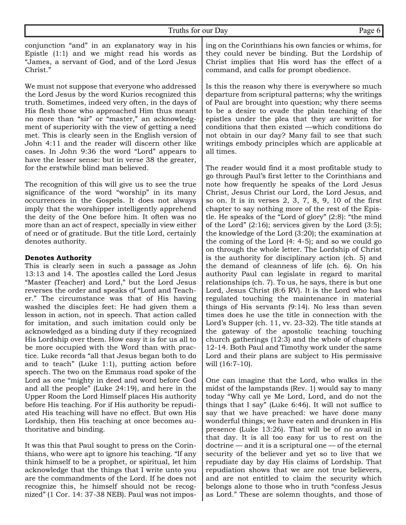conjunction "and" in an explanatory way in his Epistle (1:1) and we might read his words as "James, a servant of God, and of the Lord Jesus Christ."

We must not suppose that everyone who addressed the Lord Jesus by the word Kurios recognized this truth. Sometimes, indeed very often, in the days of His flesh those who approached Him thus meant no more than "sir" or "master," an acknowledgment of superiority with the view of getting a need met. This is clearly seen in the English version of John 4:11 and the reader will discern other like cases. In John 9:36 the word "Lord" appears to have the lesser sense: but in verse 38 the greater, for the erstwhile blind man believed.

The recognition of this will give us to see the true significance of the word "worship" in its many occurrences in the Gospels. It does not always imply that the worshipper intelligently apprehend the deity of the One before him. It often was no more than an act of respect, specially in view either of need or of gratitude. But the title Lord, certainly denotes authority.

#### **Denotes Authority**

This is clearly seen in such a passage as John 13:13 and 14. The apostles called the Lord Jesus "Master (Teacher) and Lord," but the Lord Jesus reverses the order and speaks of "Lord and Teacher." The circumstance was that of His having washed the disciples feet: He had given them a lesson in action, not in speech. That action called for imitation, and such imitation could only be acknowledged as a binding duty if they recognized His Lordship over them. How easy it is for us all to be more occupied with the Word than with practice. Luke records "all that Jesus began both to do and to teach" (Luke 1:1), putting action before speech. The two on the Emmaus road spoke of the Lord as one "mighty in deed and word before God and all the people" (Luke 24:19), and here in the Upper Room the Lord Himself places His authority before His teaching. For if His authority be repudiated His teaching will have no effect. But own His Lordship, then His teaching at once becomes authoritative and binding.

It was this that Paul sought to press on the Corinthians, who were apt to ignore his teaching. "If any think himself to be a prophet, or spiritual, let him acknowledge that the things that I write unto you are the commandments of the Lord. If he does not recognize this, he himself should not be recognized" (1 Cor. 14: 37-38 NEB). Paul was not imposing on the Corinthians his own fancies or whims, for they could never be binding. But the Lordship of Christ implies that His word has the effect of a command, and calls for prompt obedience.

Is this the reason why there is everywhere so much departure from scriptural patterns; why the writings of Paul are brought into question; why there seems to be a desire to evade the plain teaching of the epistles under the plea that they are written for conditions that then existed —which conditions do not obtain in our day? Many fail to see that such writings embody principles which are applicable at all times.

The reader would find it a most profitable study to go through Paul's first letter to the Corinthians and note how frequently he speaks of the Lord Jesus Christ, Jesus Christ our Lord, the Lord Jesus, and so on. It is in verses 2, 3, 7, 8, 9, 10 of the first chapter to say nothing more of the rest of the Epistle. He speaks of the "Lord of glory" (2:8): "the mind of the Lord"  $(2:16)$ ; services given by the Lord  $(3:5)$ ; the knowledge of the Lord (3:20); the examination at the coming of the Lord (4: 4-5); and so we could go on through the whole letter. The Lordship of Christ is the authority for disciplinary action (ch. 5) and the demand of cleanness of life (ch. 6). On his authority Paul can legislate in regard to marital relationships (ch. 7). To us, he says, there is but one Lord, Jesus Christ (8:6 RV). It is the Lord who has regulated touching the maintenance in material things of His servants (9:14). No less than seven times does he use the title in connection with the Lord's Supper (ch. 11, vv. 23-32). The title stands at the gateway of the apostolic teaching touching church gatherings (12:3) and the whole of chapters 12-14. Both Paul and Timothy work under the same Lord and their plans are subject to His permissive will (16:7-10).

One can imagine that the Lord, who walks in the midst of the lampstands (Rev. 1) would say to many today "Why call ye Me Lord, Lord, and do not the things that I say" (Luke 6:46). It will not suffice to say that we have preached: we have done many wonderful things; we have eaten and drunken in His presence (Luke 13:26). That will be of no avail in that day. It is all too easy for us to rest on the doctrine — and it is a scriptural one — of the eternal security of the believer and yet so to live that we repudiate day by day His claims of Lordship. That repudiation shows that we are not true believers, and are not entitled to claim the security which belongs alone to those who in truth "confess Jesus as Lord." These are solemn thoughts, and those of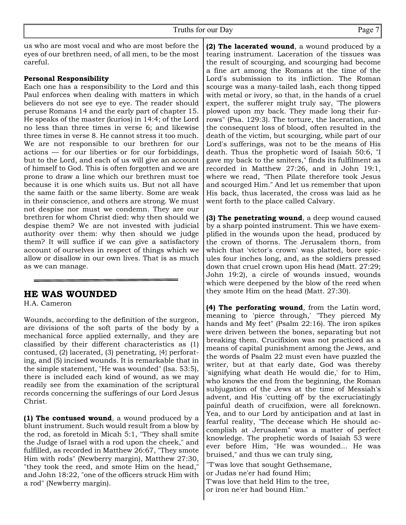us who are most vocal and who are most before the eyes of our brethren need, of all men, to be the most careful.

#### **Personal Responsibility**

Each one has a responsibility to the Lord and this Paul enforces when dealing with matters in which believers do not see eye to eye. The reader should peruse Romans 14 and the early part of chapter 15. He speaks of the master (kurios) in 14:4; of the Lord no less than three times in verse 6; and likewise three times in verse 8. He cannot stress it too much. We are not responsible to our brethren for our actions — for our liberties or for our forbiddings, but to the Lord, and each of us will give an account of himself to God. This is often forgotten and we are prone to draw a line which our brethren must toe because it is one which suits us. But not all have the same faith or the same liberty. Some are weak in their conscience, and others are strong. We must not despise nor must we condemn. They are our brethren for whom Christ died: why then should we despise them? We are not invested with judicial authority over them: why then should we judge them? It will suffice if we can give a satisfactory account of ourselves in respect of things which we allow or disallow in our own lives. That is as much as we can manage.

#### **HE WAS WOUNDED**

H.A. Cameron

Wounds, according to the definition of the surgeon, are divisions of the soft parts of the body by a mechanical force applied externally, and they are classified by their different characteristics as (1) contused, (2) lacerated, (3) penetrating, {4} perforating, and (5) incised wounds. It is remarkable that in the simple statement, "He was wounded" (Isa. 53:5), there is included each kind of wound, as we may readily see from the examination of the scriptural records concerning the sufferings of our Lord Jesus Christ.

**(1) The contused wound**, a wound produced by a blunt instrument. Such would result from a blow by the rod, as foretold in Micah 5:1, "They shall smite the Judge of Israel with a rod upon the cheek," and fulfilled, as recorded in Matthew 26:67, "They smote Him with rods" (Newberry margin), Matthew 27:30, "they took the reed, and smote Him on the head," and John 18:22, "one of the officers struck Him with a rod" (Newberry margin).

**(2) The lacerated wound**, a wound produced by a tearing instrument. Laceration of the tissues was the result of scourging, and scourging had become a fine art among the Romans at the time of the Lord's submission to its infliction. The Roman scourge was a many-tailed lash, each thong tipped with metal or ivory, so that, in the hands of a cruel expert, the sufferer might truly say, "The plowers plowed upon my back. They made long their furrows" (Psa. 129:3). The torture, the laceration, and the consequent loss of blood, often resulted in the death of the victim, but scourging, while part of our Lord's sufferings, was not to be the means of His death. Thus the prophetic word of Isaiah 50:6, "I gave my back to the smiters," finds its fulfilment as recorded in Matthew 27:26, and in John 19:1, where we read, "Then Pilate therefore took Jesus and scourged Him." And let us remember that upon His back, thus lacerated, the cross was laid as he went forth to the place called Calvary.

**(3) The penetrating wound**, a deep wound caused by a sharp pointed instrument. This we have exemplified in the wounds upon the head, produced by the crown of thorns. The Jerusalem thorn, from which that 'victor's crown' was platted, bore spicules four inches long, and, as the soldiers pressed down that cruel crown upon His head (Matt. 27:29; John 19:2), a circle of wounds insued, wounds which were deepened by the blow of the reed when they smote Him on the head (Matt. 27:30).

**(4) The perforating wound**, from the Latin word, meaning to 'pierce through,' "They pierced My hands and My feet" (Psalm 22:16). The iron spikes were driven between the bones, separating but not breaking them. Crucifixion was not practiced as a means of capital punishment among the Jews, and the words of Psalm 22 must even have puzzled the writer, but at that early date, God was thereby 'signifying what death He would die,' for to Him, who knows the end from the beginning, the Roman subjugation of the Jews at the time of Messiah's advent, and His 'cutting off' by the excruciatingly painful death of crucifixion, were all foreknown. Yea, and to our Lord by anticipation and at last in fearful reality, "The decease which He should accomplish at Jerusalem" was a matter of perfect knowledge. The prophetic words of Isaiah 53 were ever before Him, "He was wounded... He was bruised," and thus we can truly sing,

"T'was love that sought Gethsemane, or Judas ne'er had found Him; T'was love that held Him to the tree, or iron ne'er had bound Him."